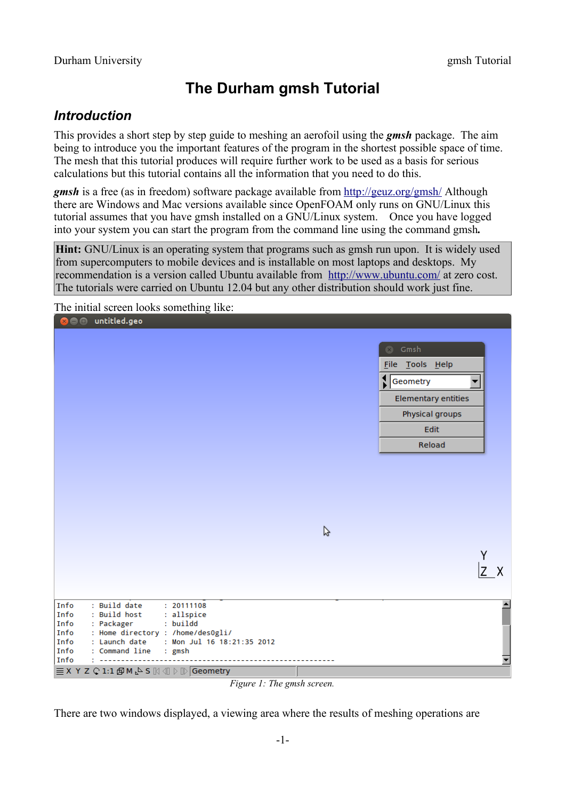# **The Durham gmsh Tutorial**

## *Introduction*

This provides a short step by step guide to meshing an aerofoil using the *gmsh* package. The aim being to introduce you the important features of the program in the shortest possible space of time. The mesh that this tutorial produces will require further work to be used as a basis for serious calculations but this tutorial contains all the information that you need to do this.

*gmsh* is a free (as in freedom) software package available from<http://geuz.org/gmsh/>Although there are Windows and Mac versions available since OpenFOAM only runs on GNU/Linux this tutorial assumes that you have gmsh installed on a GNU/Linux system. Once you have logged into your system you can start the program from the command line using the command gmsh*.* 

**Hint:** GNU/Linux is an operating system that programs such as gmsh run upon. It is widely used from supercomputers to mobile devices and is installable on most laptops and desktops. My recommendation is a version called Ubuntu available from <http://www.ubuntu.com/>at zero cost. The tutorials were carried on Ubuntu 12.04 but any other distribution should work just fine.

The initial screen looks something like:

| <b>8</b> O untitled.geo                                                           |                            |              |
|-----------------------------------------------------------------------------------|----------------------------|--------------|
|                                                                                   | <b>8</b> Gmsh              |              |
|                                                                                   | File Tools Help            |              |
|                                                                                   | <b>S</b> Geometry          |              |
|                                                                                   | <b>Elementary entities</b> |              |
|                                                                                   | Physical groups            |              |
|                                                                                   | Edit                       |              |
|                                                                                   | Reload                     |              |
|                                                                                   |                            |              |
|                                                                                   |                            |              |
|                                                                                   |                            |              |
|                                                                                   |                            |              |
| B                                                                                 |                            |              |
|                                                                                   |                            |              |
|                                                                                   | Y                          | $ z  \times$ |
|                                                                                   |                            |              |
|                                                                                   |                            |              |
| Info<br>: Build date<br>: 20111108<br>Info<br>: Build host<br>: allspice          |                            |              |
| : buildd<br>Info<br>: Packager<br>: Home directory : /home/des0gli/<br>Info       |                            |              |
| Info<br>: Launch date : Mon Jul 16 18:21:35 2012                                  |                            |              |
| Info<br>: Command line<br>: gmsh<br>Info                                          |                            | Y            |
| $\equiv$ X Y Z $\cap$ 1:1 $\oplus$ M $\&$ S $\boxplus$ $\oplus$ $\oplus$ Geometry |                            |              |

*Figure 1: The gmsh screen.*

There are two windows displayed, a viewing area where the results of meshing operations are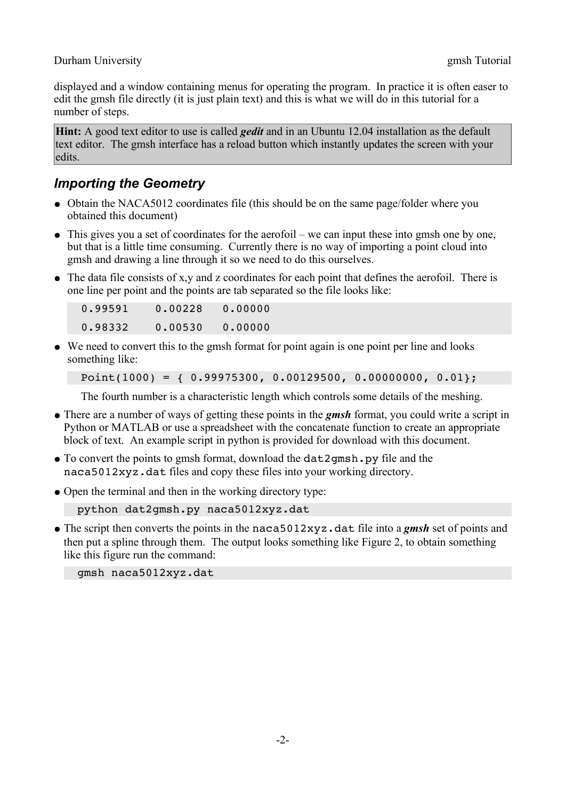displayed and a window containing menus for operating the program. In practice it is often easer to edit the gmsh file directly (it is just plain text) and this is what we will do in this tutorial for a number of steps.

**Hint:** A good text editor to use is called *gedit* and in an Ubuntu 12.04 installation as the default text editor. The gmsh interface has a reload button which instantly updates the screen with your edits.

## *Importing the Geometry*

- Obtain the NACA5012 coordinates file (this should be on the same page/folder where you obtained this document)
- $\bullet$  This gives you a set of coordinates for the aerofoil we can input these into gmsh one by one, but that is a little time consuming. Currently there is no way of importing a point cloud into gmsh and drawing a line through it so we need to do this ourselves.
- $\bullet$  The data file consists of x,y and z coordinates for each point that defines the aerofoil. There is one line per point and the points are tab separated so the file looks like:

| 0.99591 | 0.00228 | 0.00000 |
|---------|---------|---------|
| 0.98332 | 0.00530 | 0.00000 |

• We need to convert this to the gmsh format for point again is one point per line and looks something like:

```
Point(1000) = { 0.99975300, 0.00129500, 0.00000000, 0.01};
```
The fourth number is a characteristic length which controls some details of the meshing.

- There are a number of ways of getting these points in the *gmsh* format, you could write a script in Python or MATLAB or use a spreadsheet with the concatenate function to create an appropriate block of text. An example script in python is provided for download with this document.
- To convert the points to gmsh format, download the dat2gmsh.py file and the naca5012xyz.dat files and copy these files into your working directory.
- Open the terminal and then in the working directory type:

python dat2gmsh.py naca5012xyz.dat

● The script then converts the points in the naca5012xyz.dat file into a *gmsh* set of points and then put a spline through them. The output looks something like [Figure 2,](#page-2-0) to obtain something like this figure run the command:

gmsh naca5012xyz.dat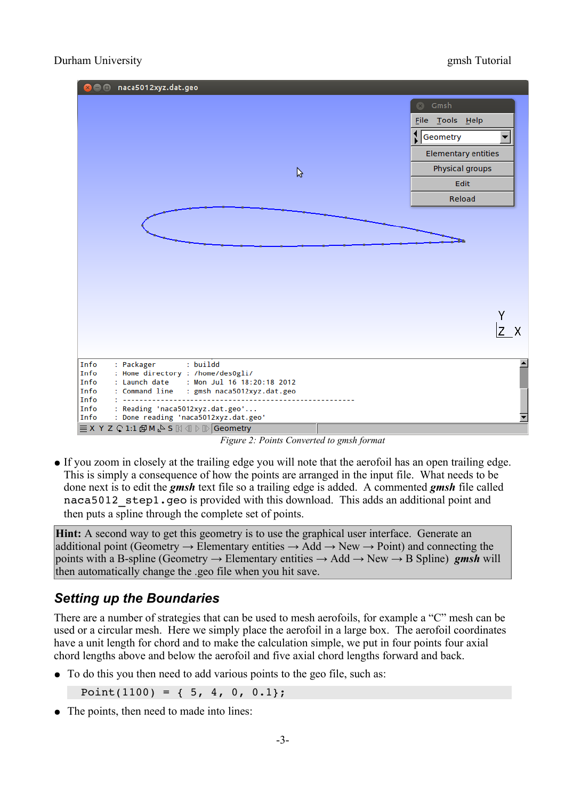#### Durham University gmsh Tutorial



<span id="page-2-0"></span>*Figure 2: Points Converted to gmsh format*

● If you zoom in closely at the trailing edge you will note that the aerofoil has an open trailing edge. This is simply a consequence of how the points are arranged in the input file. What needs to be done next is to edit the *gmsh* text file so a trailing edge is added. A commented *gmsh* file called naca5012 step1.geo is provided with this download. This adds an additional point and then puts a spline through the complete set of points.

**Hint:** A second way to get this geometry is to use the graphical user interface. Generate an additional point (Geometry  $\rightarrow$  Elementary entities  $\rightarrow$  Add  $\rightarrow$  New  $\rightarrow$  Point) and connecting the points with a B-spline (Geometry → Elementary entities → Add → New → B Spline) *gmsh* will then automatically change the .geo file when you hit save.

### *Setting up the Boundaries*

There are a number of strategies that can be used to mesh aerofoils, for example a "C" mesh can be used or a circular mesh. Here we simply place the aerofoil in a large box. The aerofoil coordinates have a unit length for chord and to make the calculation simple, we put in four points four axial chord lengths above and below the aerofoil and five axial chord lengths forward and back.

• To do this you then need to add various points to the geo file, such as:

Point(1100) =  $\{5, 4, 0, 0.1\}$ ;

• The points, then need to made into lines: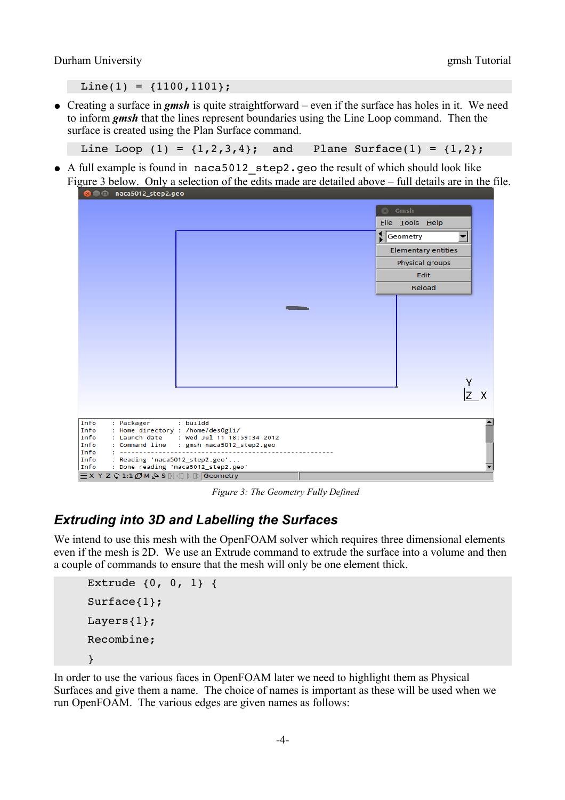Durham University gmsh Tutorial

 $Line(1) = \{1100, 1101\};$ 

● Creating a surface in *gmsh* is quite straightforward – even if the surface has holes in it. We need to inform *gmsh* that the lines represent boundaries using the Line Loop command. Then the surface is created using the Plan Surface command.

Line Loop  $(1) = \{1, 2, 3, 4\}$ ; and Plane Surface(1) =  $\{1, 2\}$ ;

• A full [e](#page-3-0)xample is found in naca5012 step2.geo the result of which should look like [Figure 3](#page-3-0) below. Only a selection of the edits made are detailed above – full details are in the file.



<span id="page-3-0"></span>*Figure 3: The Geometry Fully Defined*

## *Extruding into 3D and Labelling the Surfaces*

We intend to use this mesh with the OpenFOAM solver which requires three dimensional elements even if the mesh is 2D. We use an Extrude command to extrude the surface into a volume and then a couple of commands to ensure that the mesh will only be one element thick.

```
Extrude {0, 0, 1} { 
Surface{1};
   Layers{1}; 
   Recombine; 
}
```
In order to use the various faces in OpenFOAM later we need to highlight them as Physical Surfaces and give them a name. The choice of names is important as these will be used when we run OpenFOAM. The various edges are given names as follows: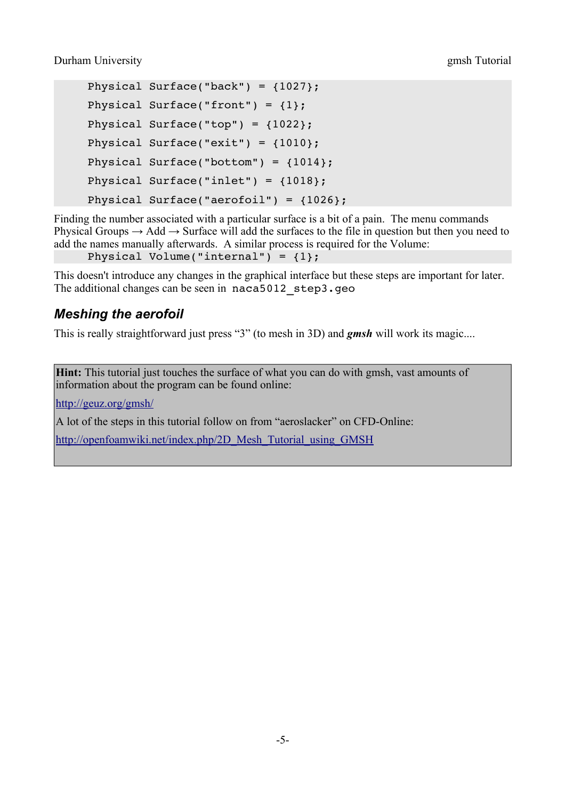```
Physical Surface("back") = {1027};
Physical Surface("front") = \{1\};
Physical Surface("top") = {1022};
Physical Surface("exit") = {1010};
Physical Surface("bottom") = {1014}; 
Physical Surface("inlet") = {1018}; 
Physical Surface("aerofoil") = {1026};
```
Finding the number associated with a particular surface is a bit of a pain. The menu commands Physical Groups  $\rightarrow$  Add  $\rightarrow$  Surface will add the surfaces to the file in question but then you need to add the names manually afterwards. A similar process is required for the Volume:

Physical Volume("internal") =  $\{1\}$ ;

This doesn't introduce any changes in the graphical interface but these steps are important for later. The additional changes can be seen in naca5012 step3.geo

## *Meshing the aerofoil*

This is really straightforward just press "3" (to mesh in 3D) and *gmsh* will work its magic....

**Hint:** This tutorial just touches the surface of what you can do with gmsh, vast amounts of information about the program can be found online:

<http://geuz.org/gmsh/>

A lot of the steps in this tutorial follow on from "aeroslacker" on CFD-Online:

[http://openfoamwiki.net/index.php/2D\\_Mesh\\_Tutorial\\_using\\_GMSH](http://openfoamwiki.net/index.php/2D_Mesh_Tutorial_using_GMSH)